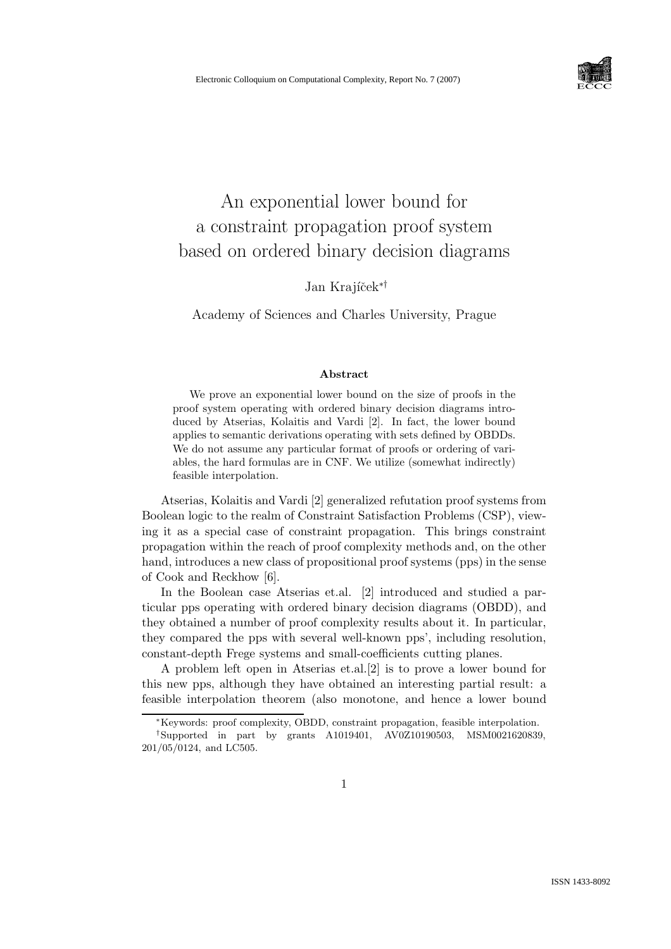

# An exponential lower bound for a constraint propagation proof system based on ordered binary decision diagrams

Jan Krajíček<sup>∗†</sup>

Academy of Sciences and Charles University, Prague

#### Abstract

We prove an exponential lower bound on the size of proofs in the proof system operating with ordered binary decision diagrams introduced by Atserias, Kolaitis and Vardi [2]. In fact, the lower bound applies to semantic derivations operating with sets defined by OBDDs. We do not assume any particular format of proofs or ordering of variables, the hard formulas are in CNF. We utilize (somewhat indirectly) feasible interpolation.

Atserias, Kolaitis and Vardi [2] generalized refutation proof systems from Boolean logic to the realm of Constraint Satisfaction Problems (CSP), viewing it as a special case of constraint propagation. This brings constraint propagation within the reach of proof complexity methods and, on the other hand, introduces a new class of propositional proof systems (pps) in the sense of Cook and Reckhow [6].

In the Boolean case Atserias et.al. [2] introduced and studied a particular pps operating with ordered binary decision diagrams (OBDD), and they obtained a number of proof complexity results about it. In particular, they compared the pps with several well-known pps', including resolution, constant-depth Frege systems and small-coefficients cutting planes.

A problem left open in Atserias et.al.[2] is to prove a lower bound for this new pps, although they have obtained an interesting partial result: a feasible interpolation theorem (also monotone, and hence a lower bound

<sup>∗</sup>Keywords: proof complexity, OBDD, constraint propagation, feasible interpolation.

<sup>†</sup>Supported in part by grants A1019401, AV0Z10190503, MSM0021620839, 201/05/0124, and LC505.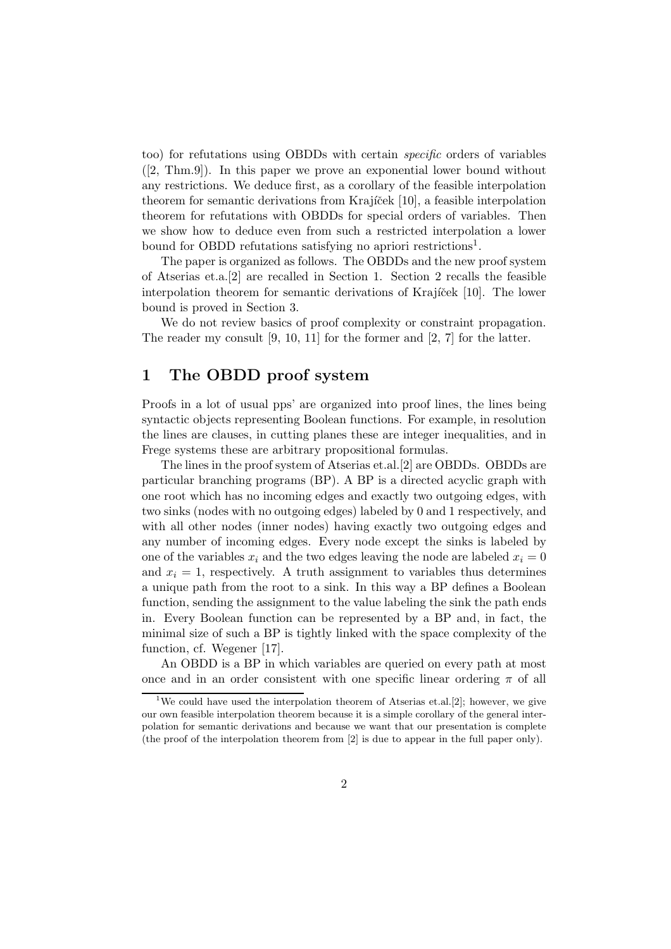too) for refutations using OBDDs with certain specific orders of variables  $([2, Thm.9])$ . In this paper we prove an exponential lower bound without any restrictions. We deduce first, as a corollary of the feasible interpolation theorem for semantic derivations from Krajíček [10], a feasible interpolation theorem for refutations with OBDDs for special orders of variables. Then we show how to deduce even from such a restricted interpolation a lower bound for OBDD refutations satisfying no apriori restrictions<sup>1</sup>.

The paper is organized as follows. The OBDDs and the new proof system of Atserias et.a.[2] are recalled in Section 1. Section 2 recalls the feasible interpolation theorem for semantic derivations of Krajíček [10]. The lower bound is proved in Section 3.

We do not review basics of proof complexity or constraint propagation. The reader my consult [9, 10, 11] for the former and [2, 7] for the latter.

## 1 The OBDD proof system

Proofs in a lot of usual pps' are organized into proof lines, the lines being syntactic objects representing Boolean functions. For example, in resolution the lines are clauses, in cutting planes these are integer inequalities, and in Frege systems these are arbitrary propositional formulas.

The lines in the proof system of Atserias et.al.[2] are OBDDs. OBDDs are particular branching programs (BP). A BP is a directed acyclic graph with one root which has no incoming edges and exactly two outgoing edges, with two sinks (nodes with no outgoing edges) labeled by 0 and 1 respectively, and with all other nodes (inner nodes) having exactly two outgoing edges and any number of incoming edges. Every node except the sinks is labeled by one of the variables  $x_i$  and the two edges leaving the node are labeled  $x_i = 0$ and  $x_i = 1$ , respectively. A truth assignment to variables thus determines a unique path from the root to a sink. In this way a BP defines a Boolean function, sending the assignment to the value labeling the sink the path ends in. Every Boolean function can be represented by a BP and, in fact, the minimal size of such a BP is tightly linked with the space complexity of the function, cf. Wegener [17].

An OBDD is a BP in which variables are queried on every path at most once and in an order consistent with one specific linear ordering  $\pi$  of all

<sup>&</sup>lt;sup>1</sup>We could have used the interpolation theorem of Atserias et.al.<sup>[2]</sup>; however, we give our own feasible interpolation theorem because it is a simple corollary of the general interpolation for semantic derivations and because we want that our presentation is complete (the proof of the interpolation theorem from [2] is due to appear in the full paper only).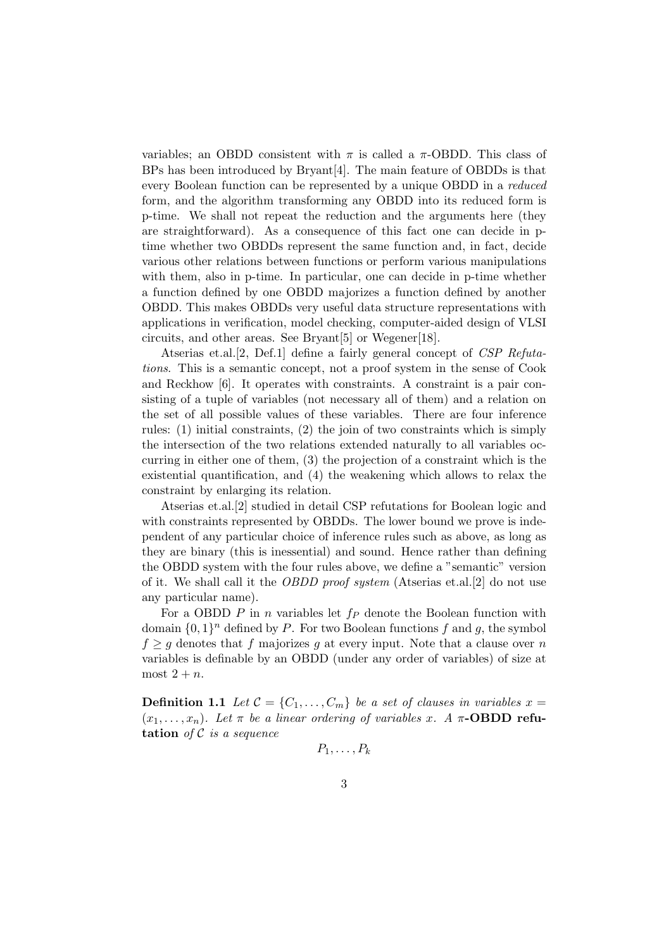variables; an OBDD consistent with  $\pi$  is called a  $\pi$ -OBDD. This class of BPs has been introduced by Bryant[4]. The main feature of OBDDs is that every Boolean function can be represented by a unique OBDD in a reduced form, and the algorithm transforming any OBDD into its reduced form is p-time. We shall not repeat the reduction and the arguments here (they are straightforward). As a consequence of this fact one can decide in ptime whether two OBDDs represent the same function and, in fact, decide various other relations between functions or perform various manipulations with them, also in p-time. In particular, one can decide in p-time whether a function defined by one OBDD majorizes a function defined by another OBDD. This makes OBDDs very useful data structure representations with applications in verification, model checking, computer-aided design of VLSI circuits, and other areas. See Bryant[5] or Wegener[18].

Atserias et.al.[2, Def.1] define a fairly general concept of CSP Refutations. This is a semantic concept, not a proof system in the sense of Cook and Reckhow [6]. It operates with constraints. A constraint is a pair consisting of a tuple of variables (not necessary all of them) and a relation on the set of all possible values of these variables. There are four inference rules: (1) initial constraints, (2) the join of two constraints which is simply the intersection of the two relations extended naturally to all variables occurring in either one of them, (3) the projection of a constraint which is the existential quantification, and (4) the weakening which allows to relax the constraint by enlarging its relation.

Atserias et.al.[2] studied in detail CSP refutations for Boolean logic and with constraints represented by OBDDs. The lower bound we prove is independent of any particular choice of inference rules such as above, as long as they are binary (this is inessential) and sound. Hence rather than defining the OBDD system with the four rules above, we define a "semantic" version of it. We shall call it the OBDD proof system (Atserias et.al.[2] do not use any particular name).

For a OBDD  $P$  in n variables let  $f_P$  denote the Boolean function with domain  $\{0,1\}^n$  defined by P. For two Boolean functions f and g, the symbol  $f \geq g$  denotes that f majorizes g at every input. Note that a clause over n variables is definable by an OBDD (under any order of variables) of size at most  $2 + n$ .

**Definition 1.1** Let  $\mathcal{C} = \{C_1, \ldots, C_m\}$  be a set of clauses in variables  $x =$  $(x_1, \ldots, x_n)$ . Let  $\pi$  be a linear ordering of variables x. A  $\pi$ -**OBDD refu**tation of  $C$  is a sequence

$$
P_1,\ldots,P_k
$$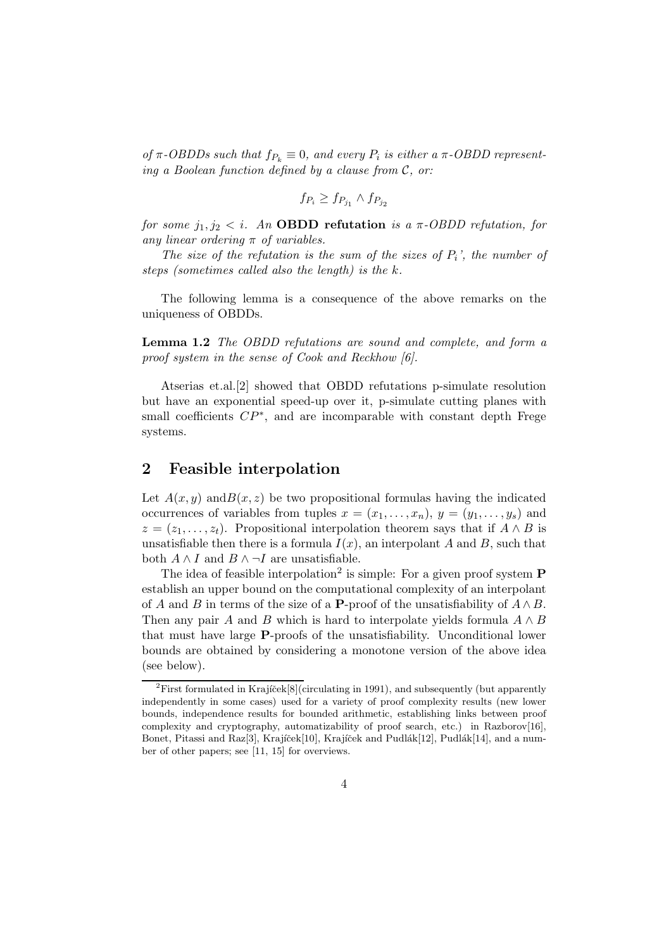of  $\pi$ -OBDDs such that  $f_{P_k} \equiv 0$ , and every  $P_i$  is either a  $\pi$ -OBDD representing a Boolean function defined by a clause from  $\mathcal{C}$ , or:

$$
f_{P_i} \ge f_{P_{j_1}} \wedge f_{P_{j_2}}
$$

for some  $j_1, j_2 < i$ . An **OBDD** refutation is a  $\pi$ -OBDD refutation, for any linear ordering  $\pi$  of variables.

The size of the refutation is the sum of the sizes of  $P_i$ , the number of steps (sometimes called also the length) is the k.

The following lemma is a consequence of the above remarks on the uniqueness of OBDDs.

Lemma 1.2 The OBDD refutations are sound and complete, and form a proof system in the sense of Cook and Reckhow [6].

Atserias et.al.[2] showed that OBDD refutations p-simulate resolution but have an exponential speed-up over it, p-simulate cutting planes with small coefficients  $\mathbb{CP}^*$ , and are incomparable with constant depth Frege systems.

## 2 Feasible interpolation

Let  $A(x, y)$  and  $B(x, z)$  be two propositional formulas having the indicated occurrences of variables from tuples  $x = (x_1, \ldots, x_n), y = (y_1, \ldots, y_s)$  and  $z = (z_1, \ldots, z_t)$ . Propositional interpolation theorem says that if  $A \wedge B$  is unsatisfiable then there is a formula  $I(x)$ , an interpolant A and B, such that both  $A \wedge I$  and  $B \wedge \neg I$  are unsatisfiable.

The idea of feasible interpolation<sup>2</sup> is simple: For a given proof system  $P$ establish an upper bound on the computational complexity of an interpolant of A and B in terms of the size of a P-proof of the unsatisfiability of  $A \wedge B$ . Then any pair A and B which is hard to interpolate yields formula  $A \wedge B$ that must have large P-proofs of the unsatisfiability. Unconditional lower bounds are obtained by considering a monotone version of the above idea (see below).

<sup>&</sup>lt;sup>2</sup>First formulated in Krajíček<sup>[8]</sup>(circulating in 1991), and subsequently (but apparently independently in some cases) used for a variety of proof complexity results (new lower bounds, independence results for bounded arithmetic, establishing links between proof complexity and cryptography, automatizability of proof search, etc.) in Razborov $[16]$ , Bonet, Pitassi and Raz[3], Krajíček[10], Krajíček and Pudlák[12], Pudlák[14], and a number of other papers; see [11, 15] for overviews.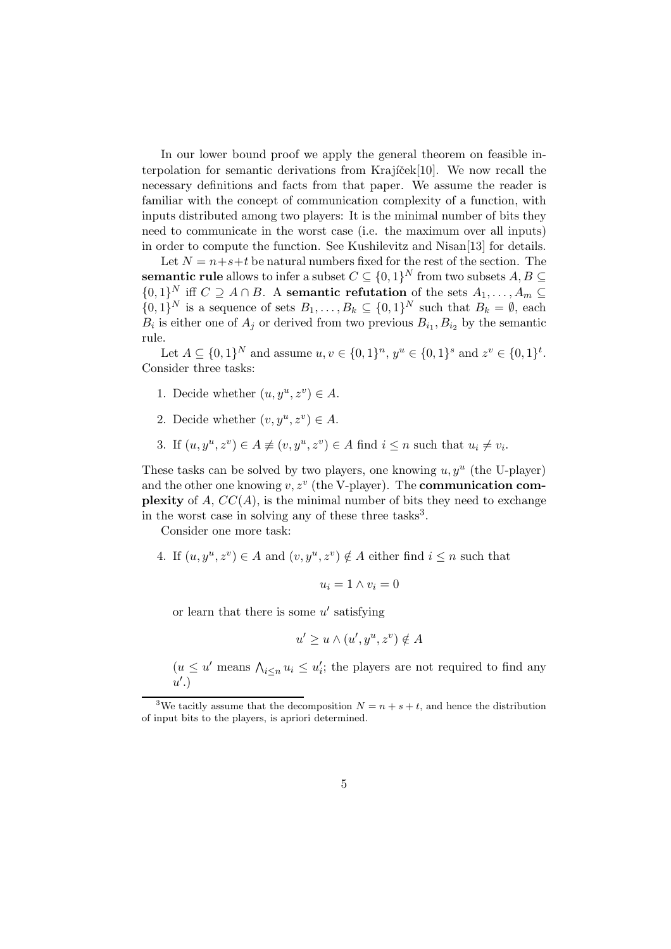In our lower bound proof we apply the general theorem on feasible interpolation for semantic derivations from Krajicek $[10]$ . We now recall the necessary definitions and facts from that paper. We assume the reader is familiar with the concept of communication complexity of a function, with inputs distributed among two players: It is the minimal number of bits they need to communicate in the worst case (i.e. the maximum over all inputs) in order to compute the function. See Kushilevitz and Nisan[13] for details.

Let  $N = n+s+t$  be natural numbers fixed for the rest of the section. The  ${\bf semantic}$  rule allows to infer a subset  $C \subseteq \{0,1\}^N$  from two subsets  $A,B \subseteq$  $\{0,1\}^N$  iff  $C \supseteq A \cap B$ . A semantic refutation of the sets  $A_1, \ldots, A_m \subseteq$  $\{0,1\}^N$  is a sequence of sets  $B_1, \ldots, B_k \subseteq \{0,1\}^N$  such that  $B_k = \emptyset$ , each  $B_i$  is either one of  $A_j$  or derived from two previous  $B_{i_1}, B_{i_2}$  by the semantic rule.

Let  $A \subseteq \{0,1\}^N$  and assume  $u, v \in \{0,1\}^n$ ,  $y^u \in \{0,1\}^s$  and  $z^v \in \{0,1\}^t$ . Consider three tasks:

- 1. Decide whether  $(u, y^u, z^v) \in A$ .
- 2. Decide whether  $(v, y^u, z^v) \in A$ .
- 3. If  $(u, y^u, z^v) \in A \not\equiv (v, y^u, z^v) \in A$  find  $i \leq n$  such that  $u_i \neq v_i$ .

These tasks can be solved by two players, one knowing  $u, y^u$  (the U-player) and the other one knowing  $v, z^v$  (the V-player). The **communication complexity** of A,  $CC(A)$ , is the minimal number of bits they need to exchange in the worst case in solving any of these three tasks<sup>3</sup>.

Consider one more task:

4. If  $(u, y^u, z^v) \in A$  and  $(v, y^u, z^v) \notin A$  either find  $i \leq n$  such that

$$
u_i = 1 \wedge v_i = 0
$$

or learn that there is some  $u'$  satisfying

$$
u' \ge u \wedge (u', y^u, z^v) \notin A
$$

 $(u \leq u'$  means  $\bigwedge_{i \leq n} u_i \leq u'_i$ ; the players are not required to find any  $u'.$ 

<sup>&</sup>lt;sup>3</sup>We tacitly assume that the decomposition  $N = n + s + t$ , and hence the distribution of input bits to the players, is apriori determined.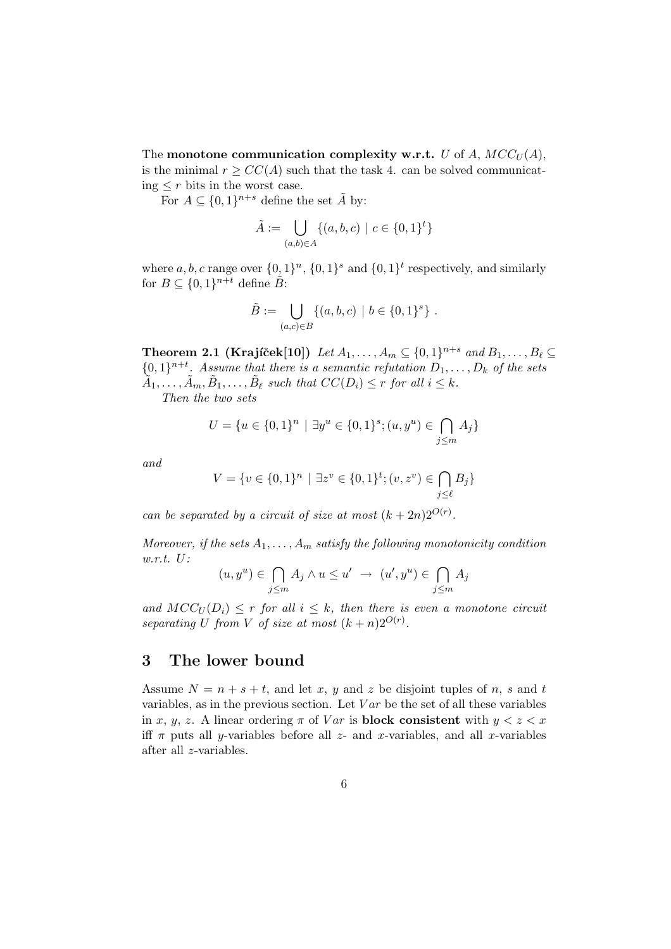The monotone communication complexity w.r.t. U of A,  $MCC_U(A)$ , is the minimal  $r \ge CC(A)$  such that the task 4. can be solved communicating  $\leq r$  bits in the worst case.

For  $A \subseteq \{0,1\}^{n+s}$  define the set  $\tilde{A}$  by:

$$
\tilde{A} := \bigcup_{(a,b)\in A} \{ (a,b,c) \mid c \in \{0,1\}^t \}
$$

where  $a, b, c$  range over  $\{0, 1\}^n$ ,  $\{0, 1\}^s$  and  $\{0, 1\}^t$  respectively, and similarly for  $B \subseteq \{0,1\}^{n+t}$  define  $\tilde{B}$ :

$$
\tilde{B} := \bigcup_{(a,c) \in B} \{ (a,b,c) \mid b \in \{0,1\}^s \} .
$$

Theorem 2.1 (Krajíček[10])  $\text{Let } A_1, \ldots, A_m \subseteq \{0,1\}^{n+s} \text{ and } B_1, \ldots, B_\ell \subseteq$  $\{0,1\}^{n+t}$ . Assume that there is a semantic refutation  $D_1, \ldots, D_k$  of the sets  $\tilde{A}_1, \ldots, \tilde{A}_m, \tilde{B}_1, \ldots, \tilde{B}_\ell$  such that  $CC(D_i) \leq r$  for all  $i \leq k$ .

Then the two sets

$$
U = \{ u \in \{0, 1\}^n \mid \exists y^u \in \{0, 1\}^s; (u, y^u) \in \bigcap_{j \le m} A_j \}
$$

and

$$
V = \{v \in \{0, 1\}^n \mid \exists z^v \in \{0, 1\}^t; (v, z^v) \in \bigcap_{j \le \ell} B_j\}
$$

can be separated by a circuit of size at most  $(k+2n)2^{O(r)}$ .

Moreover, if the sets  $A_1, \ldots, A_m$  satisfy the following monotonicity condition w.r.t. U:

$$
(u, y^u) \in \bigcap_{j \le m} A_j \wedge u \le u' \to (u', y^u) \in \bigcap_{j \le m} A_j
$$

and  $MCC_U(D_i) \leq r$  for all  $i \leq k$ , then there is even a monotone circuit separating U from V of size at most  $(k+n)2^{O(r)}$ .

## 3 The lower bound

Assume  $N = n + s + t$ , and let x, y and z be disjoint tuples of n, s and t variables, as in the previous section. Let  $Var$  be the set of all these variables in x, y, z. A linear ordering  $\pi$  of Var is **block consistent** with  $y < z < x$ iff  $\pi$  puts all *y*-variables before all *z*- and *x*-variables, and all *x*-variables after all z-variables.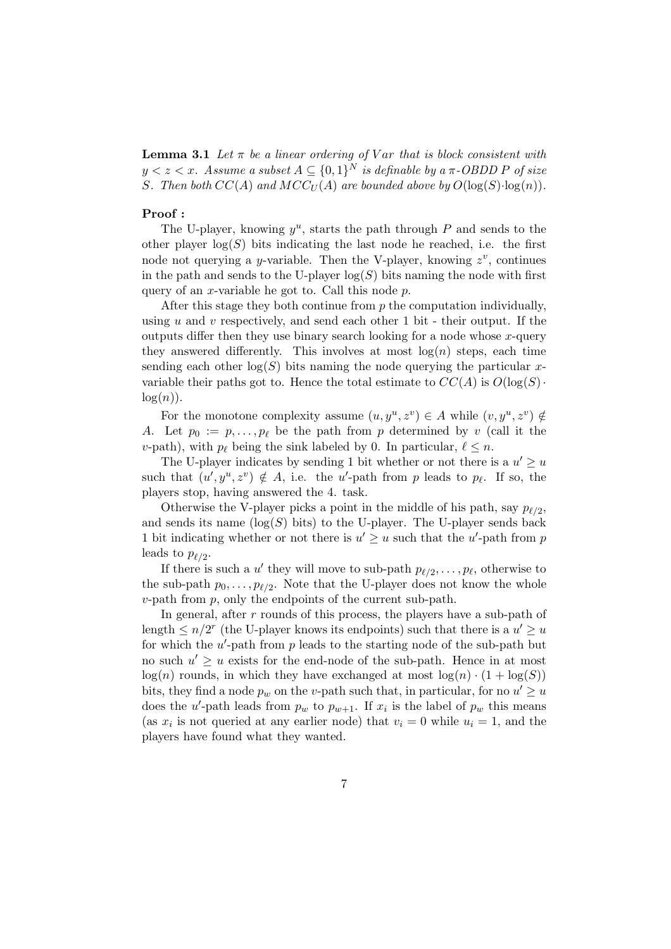**Lemma 3.1** Let  $\pi$  be a linear ordering of V ar that is block consistent with  $y < z < x$ . Assume a subset  $A \subseteq \{0,1\}^N$  is definable by a  $\pi\text{-OBDD}$  P of size S. Then both  $CC(A)$  and  $MCC_U(A)$  are bounded above by  $O(\log(S) \cdot \log(n))$ .

#### Proof :

The U-player, knowing  $y^u$ , starts the path through P and sends to the other player  $log(S)$  bits indicating the last node he reached, i.e. the first node not querying a *y*-variable. Then the V-player, knowing  $z^v$ , continues in the path and sends to the U-player  $log(S)$  bits naming the node with first query of an x-variable he got to. Call this node  $p$ .

After this stage they both continue from  $p$  the computation individually, using  $u$  and  $v$  respectively, and send each other 1 bit - their output. If the outputs differ then they use binary search looking for a node whose  $x$ -query they answered differently. This involves at most  $log(n)$  steps, each time sending each other  $log(S)$  bits naming the node querying the particular xvariable their paths got to. Hence the total estimate to  $CC(A)$  is  $O(\log(S))$ .  $log(n)$ .

For the monotone complexity assume  $(u, y^u, z^v) \in A$  while  $(v, y^u, z^v) \notin A$ A. Let  $p_0 := p, \ldots, p_\ell$  be the path from p determined by v (call it the v-path), with  $p_\ell$  being the sink labeled by 0. In particular,  $\ell \leq n$ .

The U-player indicates by sending 1 bit whether or not there is a  $u' \geq u$ such that  $(u', y^u, z^v) \notin A$ , i.e. the u'-path from p leads to  $p_\ell$ . If so, the players stop, having answered the 4. task.

Otherwise the V-player picks a point in the middle of his path, say  $p_{\ell/2}$ , and sends its name  $(\log(S)$  bits) to the U-player. The U-player sends back 1 bit indicating whether or not there is  $u' \geq u$  such that the u'-path from p leads to  $p_{\ell/2}$ .

If there is such a u' they will move to sub-path  $p_{\ell/2}, \ldots, p_{\ell}$ , otherwise to the sub-path  $p_0, \ldots, p_{\ell/2}$ . Note that the U-player does not know the whole  $v$ -path from  $p$ , only the endpoints of the current sub-path.

In general, after  $r$  rounds of this process, the players have a sub-path of length  $\leq n/2^r$  (the U-player knows its endpoints) such that there is a  $u' \geq u$ for which the  $u'$ -path from  $p$  leads to the starting node of the sub-path but no such  $u' \geq u$  exists for the end-node of the sub-path. Hence in at most  $log(n)$  rounds, in which they have exchanged at most  $log(n) \cdot (1 + log(S))$ bits, they find a node  $p_w$  on the v-path such that, in particular, for no  $u' \geq u$ does the u'-path leads from  $p_w$  to  $p_{w+1}$ . If  $x_i$  is the label of  $p_w$  this means (as  $x_i$  is not queried at any earlier node) that  $v_i = 0$  while  $u_i = 1$ , and the players have found what they wanted.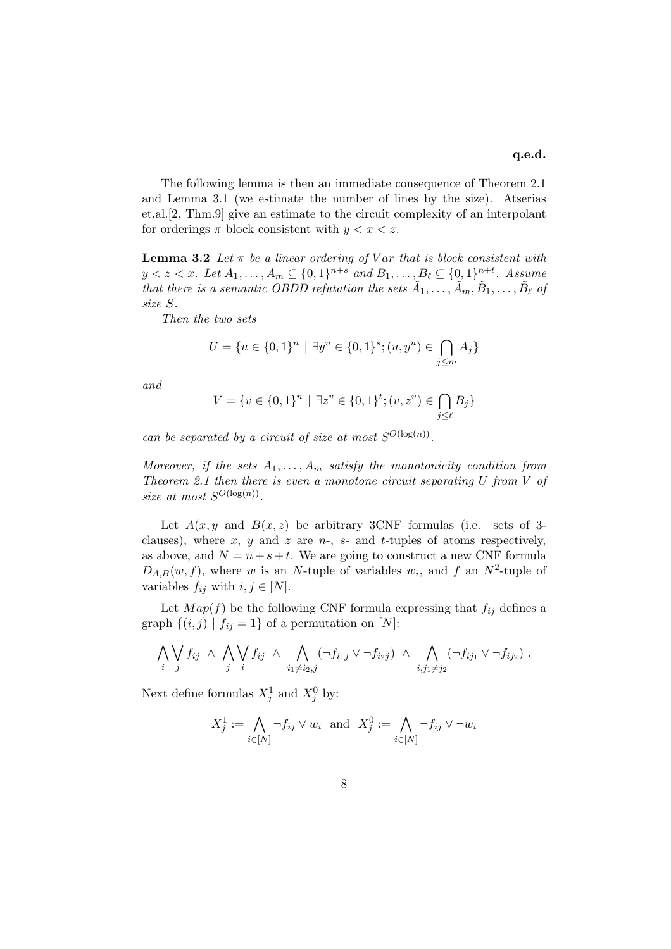The following lemma is then an immediate consequence of Theorem 2.1 and Lemma 3.1 (we estimate the number of lines by the size). Atserias et.al.[2, Thm.9] give an estimate to the circuit complexity of an interpolant for orderings  $\pi$  block consistent with  $y < x < z$ .

**Lemma 3.2** Let  $\pi$  be a linear ordering of V ar that is block consistent with  $y < z < x$ . Let  $A_1, ..., A_m \subseteq \{0, 1\}^{n+s}$  and  $B_1, ..., B_\ell \subseteq \{0, 1\}^{n+t}$ . Assume that there is a semantic OBDD refutation the sets  $\tilde{A}_1, \ldots, \tilde{A}_m, \tilde{B}_1, \ldots, \tilde{B}_\ell$  of size S.

Then the two sets

$$
U = \{u \in \{0,1\}^n \mid \exists y^u \in \{0,1\}^s; (u, y^u) \in \bigcap_{j \le m} A_j\}
$$

and

$$
V = \{v \in \{0, 1\}^n \mid \exists z^v \in \{0, 1\}^t; (v, z^v) \in \bigcap_{j \le \ell} B_j\}
$$

can be separated by a circuit of size at most  $S^{O(\log(n))}$ .

Moreover, if the sets  $A_1, \ldots, A_m$  satisfy the monotonicity condition from Theorem 2.1 then there is even a monotone circuit separating  $U$  from  $V$  of size at most  $S^{O(\log(n))}$ .

Let  $A(x, y)$  and  $B(x, z)$  be arbitrary 3CNF formulas (i.e. sets of 3clauses), where x, y and z are n-, s- and t-tuples of atoms respectively, as above, and  $N = n + s + t$ . We are going to construct a new CNF formula  $D_{A,B}(w, f)$ , where w is an N-tuple of variables  $w_i$ , and f an N<sup>2</sup>-tuple of variables  $f_{ij}$  with  $i, j \in [N]$ .

Let  $Map(f)$  be the following CNF formula expressing that  $f_{ij}$  defines a graph  $\{(i, j) | f_{ij} = 1\}$  of a permutation on [N]:

$$
\bigwedge_i \bigvee_j f_{ij} \ \wedge \ \bigwedge_j \bigvee_j f_{ij} \ \wedge \ \bigwedge_{i_1 \neq i_2, j} (\neg f_{i_1j} \vee \neg f_{i_2j}) \ \wedge \ \bigwedge_{i,j_1 \neq j_2} (\neg f_{ij_1} \vee \neg f_{ij_2}).
$$

Next define formulas  $X_j^1$  and  $X_j^0$  by:

$$
X_j^1 := \bigwedge_{i \in [N]} \neg f_{ij} \lor w_i \text{ and } X_j^0 := \bigwedge_{i \in [N]} \neg f_{ij} \lor \neg w_i
$$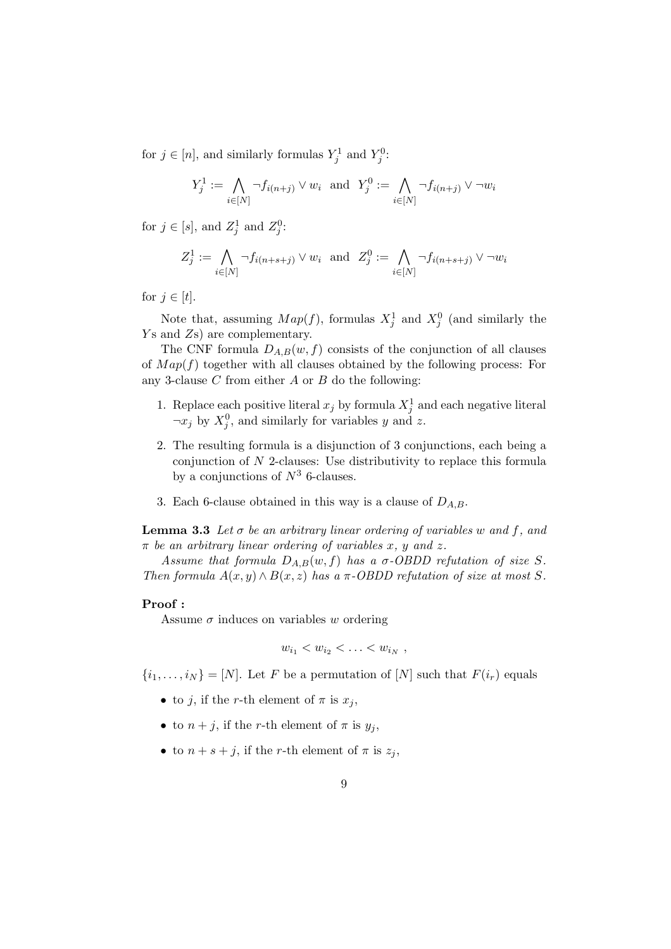for  $j \in [n]$ , and similarly formulas  $Y_j^1$  and  $Y_j^0$ :

$$
Y_j^1 := \bigwedge_{i \in [N]} \neg f_{i(n+j)} \lor w_i \text{ and } Y_j^0 := \bigwedge_{i \in [N]} \neg f_{i(n+j)} \lor \neg w_i
$$

for  $j \in [s]$ , and  $Z_j^1$  and  $Z_j^0$ :

$$
Z_j^1 := \bigwedge_{i \in [N]} \neg f_{i(n+s+j)} \vee w_i \text{ and } Z_j^0 := \bigwedge_{i \in [N]} \neg f_{i(n+s+j)} \vee \neg w_i
$$

for  $j \in [t]$ .

Note that, assuming  $Map(f)$ , formulas  $X_j^1$  and  $X_j^0$  (and similarly the Ys and Zs) are complementary.

The CNF formula  $D_{A,B}(w, f)$  consists of the conjunction of all clauses of  $Map(f)$  together with all clauses obtained by the following process: For any 3-clause  $C$  from either  $A$  or  $B$  do the following:

- 1. Replace each positive literal  $x_j$  by formula  $X_j^1$  and each negative literal  $\neg x_j$  by  $X_j^0$ , and similarly for variables y and z.
- 2. The resulting formula is a disjunction of 3 conjunctions, each being a conjunction of N 2-clauses: Use distributivity to replace this formula by a conjunctions of  $N^3$  6-clauses.
- 3. Each 6-clause obtained in this way is a clause of  $D_{A,B}$ .

**Lemma 3.3** Let  $\sigma$  be an arbitrary linear ordering of variables w and f, and  $\pi$  be an arbitrary linear ordering of variables x, y and z.

Assume that formula  $D_{A,B}(w, f)$  has a  $\sigma$ -OBDD refutation of size S. Then formula  $A(x, y) \wedge B(x, z)$  has a  $\pi$ -OBDD refutation of size at most S.

#### Proof :

Assume  $\sigma$  induces on variables w ordering

$$
w_{i_1} < w_{i_2} < \ldots < w_{i_N} \; ,
$$

 $\{i_1, \ldots, i_N\} = [N]$ . Let F be a permutation of  $[N]$  such that  $F(i_r)$  equals

- to j, if the r-th element of  $\pi$  is  $x_i$ ,
- to  $n + j$ , if the r-th element of  $\pi$  is  $y_j$ ,
- to  $n + s + j$ , if the r-th element of  $\pi$  is  $z_j$ ,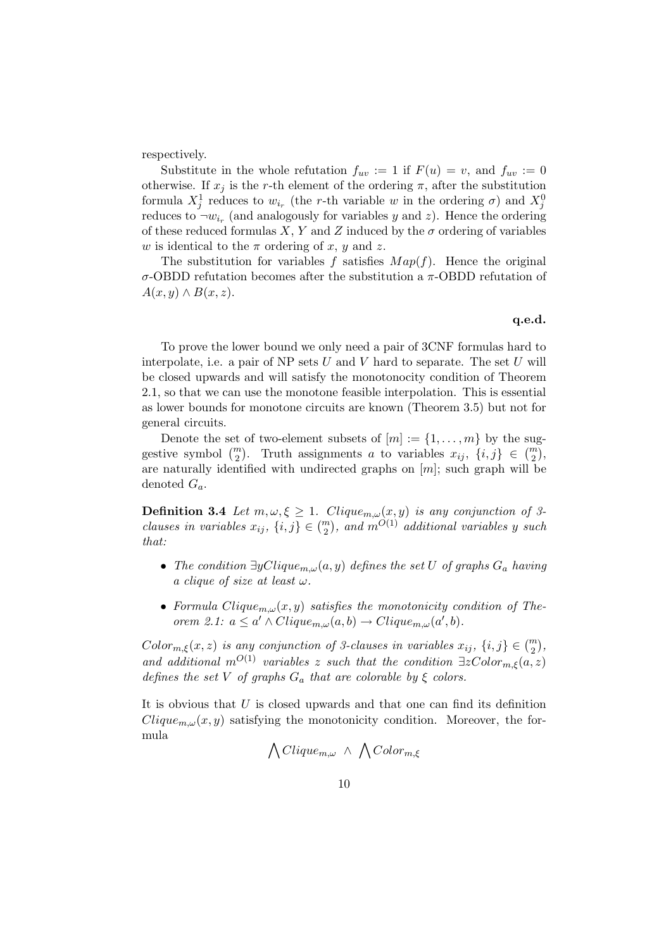respectively.

Substitute in the whole refutation  $f_{uv} := 1$  if  $F(u) = v$ , and  $f_{uv} := 0$ otherwise. If  $x_j$  is the r-th element of the ordering  $\pi$ , after the substitution formula  $X_j^1$  reduces to  $w_{i_r}$  (the r-th variable w in the ordering  $\sigma$ ) and  $X_j^0$ reduces to  $\neg w_{i_r}$  (and analogously for variables y and z). Hence the ordering of these reduced formulas X, Y and Z induced by the  $\sigma$  ordering of variables w is identical to the  $\pi$  ordering of x, y and z.

The substitution for variables f satisfies  $Map(f)$ . Hence the original σ-OBDD refutation becomes after the substitution a π-OBDD refutation of  $A(x, y) \wedge B(x, z).$ 

#### q.e.d.

To prove the lower bound we only need a pair of 3CNF formulas hard to interpolate, i.e. a pair of NP sets  $U$  and  $V$  hard to separate. The set  $U$  will be closed upwards and will satisfy the monotonocity condition of Theorem 2.1, so that we can use the monotone feasible interpolation. This is essential as lower bounds for monotone circuits are known (Theorem 3.5) but not for general circuits.

Denote the set of two-element subsets of  $[m] := \{1, \ldots, m\}$  by the suggestive symbol  $\binom{m}{2}$ . Truth assignments a to variables  $x_{ij}$ ,  $\{i, j\} \in \binom{m}{2}$ , are naturally identified with undirected graphs on  $[m]$ ; such graph will be denoted  $G_a$ .

**Definition 3.4** Let  $m, \omega, \xi \geq 1$ . Clique<sub>m, $\omega(x, y)$  is any conjunction of 3-</sub> clauses in variables  $x_{ij}$ ,  $\{i, j\} \in \binom{m}{2}$ , and  $m^{O(1)}$  additional variables y such that:

- The condition  $\exists yClique_{m,\omega}(a, y)$  defines the set U of graphs  $G_a$  having a clique of size at least  $\omega$ .
- Formula Clique<sub>m, $\omega(x, y)$ </sub> satisfies the monotonicity condition of Theorem 2.1:  $a \leq a' \wedge Clique_{m,\omega}(a,b) \rightarrow Clique_{m,\omega}(a',b)$ .

 $Color_{m,\xi}(x,z)$  is any conjunction of 3-clauses in variables  $x_{ij}$ ,  $\{i,j\} \in \binom{m}{2}$ , and additional  $m^{O(1)}$  variables z such that the condition  $\exists z \text{Color}_{m,\xi}(a,z)$ defines the set V of graphs  $G_a$  that are colorable by  $\xi$  colors.

It is obvious that U is closed upwards and that one can find its definition  $Clique_{m,\omega}(x, y)$  satisfying the monotonicity condition. Moreover, the formula

$$
\bigwedge Clique_{m, \omega} \ \wedge \ \bigwedge Color_{m, \xi}
$$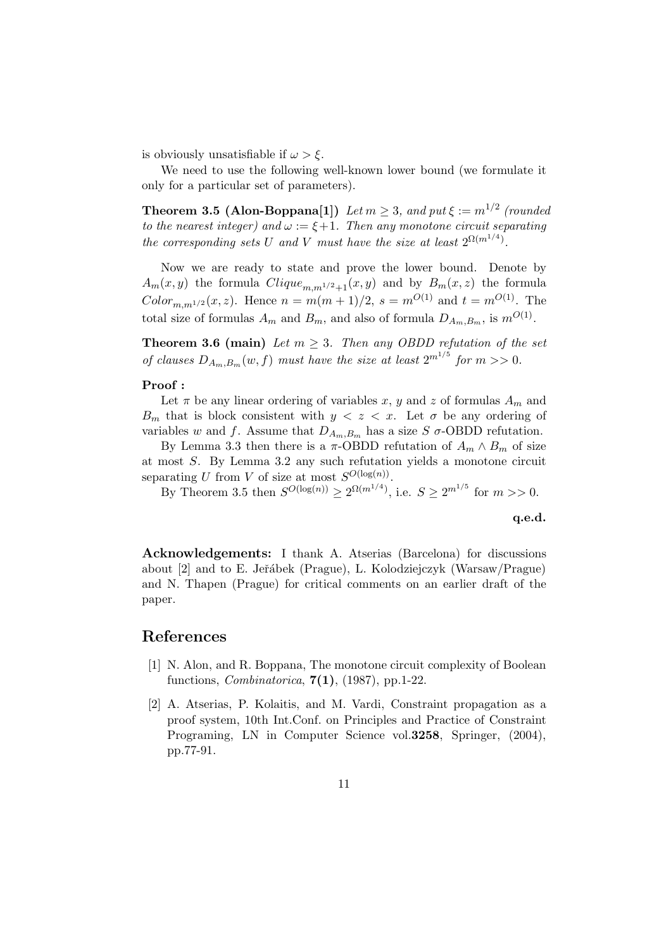is obviously unsatisfiable if  $\omega > \xi$ .

We need to use the following well-known lower bound (we formulate it only for a particular set of parameters).

**Theorem 3.5 (Alon-Boppana[1])** Let  $m \geq 3$ , and put  $\xi := m^{1/2}$  (rounded to the nearest integer) and  $\omega := \xi + 1$ . Then any monotone circuit separating the corresponding sets U and V must have the size at least  $2^{\Omega(m^{1/4})}$ .

Now we are ready to state and prove the lower bound. Denote by  $A_m(x, y)$  the formula  $Clique_{m,m^{1/2}+1}(x, y)$  and by  $B_m(x, z)$  the formula  $Color_{m,m^{1/2}}(x, z)$ . Hence  $n = m(m+1)/2$ ,  $s = m^{O(1)}$  and  $t = m^{O(1)}$ . The total size of formulas  $A_m$  and  $B_m$ , and also of formula  $D_{A_m,B_m}$ , is  $m^{O(1)}$ .

**Theorem 3.6 (main)** Let  $m \geq 3$ . Then any OBDD refutation of the set of clauses  $D_{A_m,B_m}(w, f)$  must have the size at least  $2^{m^{1/5}}$  for  $m >> 0$ .

#### Proof :

Let  $\pi$  be any linear ordering of variables x, y and z of formulas  $A_m$  and  $B_m$  that is block consistent with  $y < z < x$ . Let  $\sigma$  be any ordering of variables w and f. Assume that  $D_{A_m,B_m}$  has a size S  $\sigma$ -OBDD refutation.

By Lemma 3.3 then there is a  $\pi$ -OBDD refutation of  $A_m \wedge B_m$  of size at most S. By Lemma 3.2 any such refutation yields a monotone circuit separating U from V of size at most  $S^{O(\log(n))}$ .

By Theorem 3.5 then  $S^{O(\log(n))} \geq 2^{\Omega(m^{1/4})}$ , i.e.  $S \geq 2^{m^{1/5}}$  for  $m >> 0$ .

q.e.d.

Acknowledgements: I thank A. Atserias (Barcelona) for discussions about [2] and to E. Jeˇr´abek (Prague), L. Kolodziejczyk (Warsaw/Prague) and N. Thapen (Prague) for critical comments on an earlier draft of the paper.

### References

- [1] N. Alon, and R. Boppana, The monotone circuit complexity of Boolean functions, *Combinatorica*,  $7(1)$ ,  $(1987)$ , pp.1-22.
- [2] A. Atserias, P. Kolaitis, and M. Vardi, Constraint propagation as a proof system, 10th Int.Conf. on Principles and Practice of Constraint Programing, LN in Computer Science vol. 3258, Springer,  $(2004)$ , pp.77-91.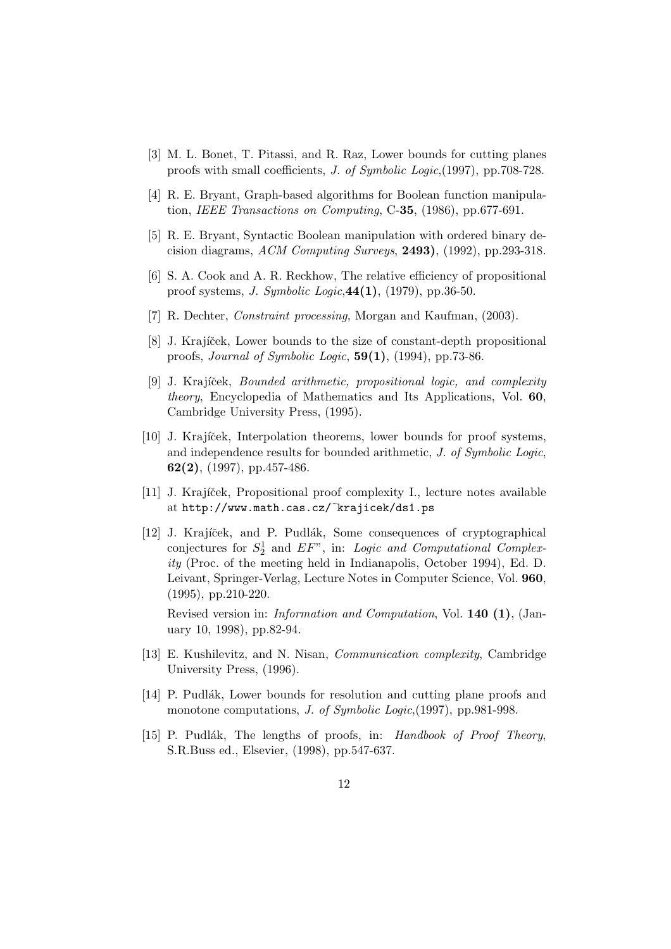- [3] M. L. Bonet, T. Pitassi, and R. Raz, Lower bounds for cutting planes proofs with small coefficients, J. of Symbolic Logic,(1997), pp.708-728.
- [4] R. E. Bryant, Graph-based algorithms for Boolean function manipulation, IEEE Transactions on Computing,  $C-35$ ,  $(1986)$ , pp.677-691.
- [5] R. E. Bryant, Syntactic Boolean manipulation with ordered binary decision diagrams,  $ACM$  Computing Surveys, 2493), (1992), pp.293-318.
- [6] S. A. Cook and A. R. Reckhow, The relative efficiency of propositional proof systems, J. Symbolic Logic,44(1), (1979), pp.36-50.
- [7] R. Dechter, Constraint processing, Morgan and Kaufman, (2003).
- [8] J. Krajíček, Lower bounds to the size of constant-depth propositional proofs, Journal of Symbolic Logic, 59(1), (1994), pp.73-86.
- [9] J. Krajíček, *Bounded arithmetic, propositional logic, and complexity* theory, Encyclopedia of Mathematics and Its Applications, Vol. 60, Cambridge University Press, (1995).
- [10] J. Krajíček, Interpolation theorems, lower bounds for proof systems, and independence results for bounded arithmetic, J. of Symbolic Logic,  $62(2)$ , (1997), pp.457-486.
- [11] J. Krajíček, Propositional proof complexity I., lecture notes available at http://www.math.cas.cz/˜krajicek/ds1.ps
- [12] J. Krajíček, and P. Pudlák, Some consequences of cryptographical conjectures for  $S_2^1$  and  $EF$ <sup>n</sup>, in: Logic and Computational Complexity (Proc. of the meeting held in Indianapolis, October 1994), Ed. D. Leivant, Springer-Verlag, Lecture Notes in Computer Science, Vol. 960, (1995), pp.210-220.

Revised version in: Information and Computation, Vol. 140 (1), (January 10, 1998), pp.82-94.

- [13] E. Kushilevitz, and N. Nisan, Communication complexity, Cambridge University Press, (1996).
- [14] P. Pudlák, Lower bounds for resolution and cutting plane proofs and monotone computations, *J. of Symbolic Logic*,(1997), pp.981-998.
- [15] P. Pudlák, The lengths of proofs, in: Handbook of Proof Theory, S.R.Buss ed., Elsevier, (1998), pp.547-637.